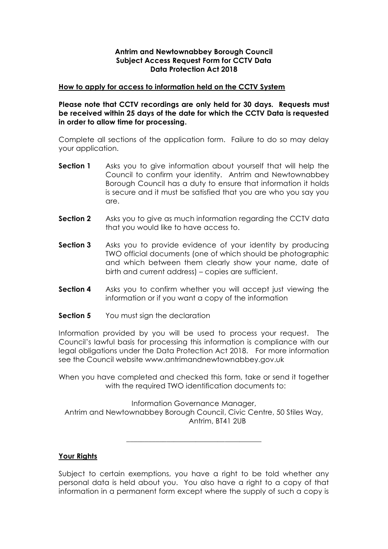### **Antrim and Newtownabbey Borough Council Subject Access Request Form for CCTV Data Data Protection Act 2018**

#### **How to apply for access to information held on the CCTV System**

**Please note that CCTV recordings are only held for 30 days. Requests must be received within 25 days of the date for which the CCTV Data is requested in order to allow time for processing.**

Complete all sections of the application form. Failure to do so may delay your application.

- **Section 1** Asks you to give information about yourself that will help the Council to confirm your identity. Antrim and Newtownabbey Borough Council has a duty to ensure that information it holds is secure and it must be satisfied that you are who you say you are.
- **Section 2** Asks you to give as much information regarding the CCTV data that you would like to have access to.
- **Section 3** Asks you to provide evidence of your identity by producing TWO official documents (one of which should be photographic and which between them clearly show your name, date of birth and current address) – copies are sufficient.
- **Section 4** Asks you to confirm whether you will accept just viewing the information or if you want a copy of the information
- **Section 5** You must sign the declaration

Information provided by you will be used to process your request. The Council's lawful basis for processing this information is compliance with our legal obligations under the Data Protection Act 2018. For more information see the Council website www.antrimandnewtownabbey.gov.uk

When you have completed and checked this form, take or send it together with the required TWO identification documents to:

Information Governance Manager, Antrim and Newtownabbey Borough Council, Civic Centre, 50 Stiles Way, Antrim, BT41 2UB

\_\_\_\_\_\_\_\_\_\_\_\_\_\_\_\_\_\_\_\_\_\_\_\_\_\_\_\_\_\_\_\_\_\_\_\_\_

**Your Rights**

Subject to certain exemptions, you have a right to be told whether any personal data is held about you. You also have a right to a copy of that information in a permanent form except where the supply of such a copy is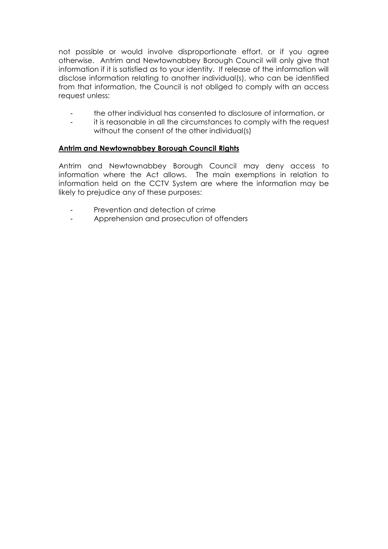not possible or would involve disproportionate effort, or if you agree otherwise. Antrim and Newtownabbey Borough Council will only give that information if it is satisfied as to your identity. If release of the information will disclose information relating to another individual(s), who can be identified from that information, the Council is not obliged to comply with an access request unless:

- the other individual has consented to disclosure of information, or
- it is reasonable in all the circumstances to comply with the request without the consent of the other individual(s)

### **Antrim and Newtownabbey Borough Council Rights**

Antrim and Newtownabbey Borough Council may deny access to information where the Act allows. The main exemptions in relation to information held on the CCTV System are where the information may be likely to prejudice any of these purposes:

- Prevention and detection of crime
- Apprehension and prosecution of offenders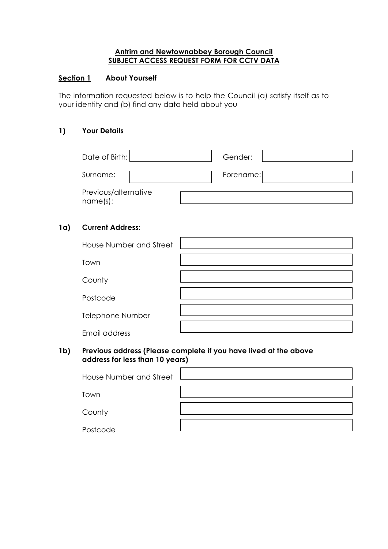### **Antrim and Newtownabbey Borough Council SUBJECT ACCESS REQUEST FORM FOR CCTV DATA**

## **Section 1 About Yourself**

The information requested below is to help the Council (a) satisfy itself as to your identity and (b) find any data held about you

## **1) Your Details**

| Date of Birth:                   |  | Gender:   |  |
|----------------------------------|--|-----------|--|
| Surname:                         |  | Forename: |  |
| Previous/alternative<br>name(s): |  |           |  |

## **1a) Current Address:**

| House Number and Street |  |
|-------------------------|--|
| Town                    |  |
| County                  |  |
| Postcode                |  |
| Telephone Number        |  |
| Email address           |  |

### **1b) Previous address (Please complete if you have lived at the above address for less than 10 years)**

| House Number and Street |  |
|-------------------------|--|
| Town                    |  |
| County                  |  |
| Postcode                |  |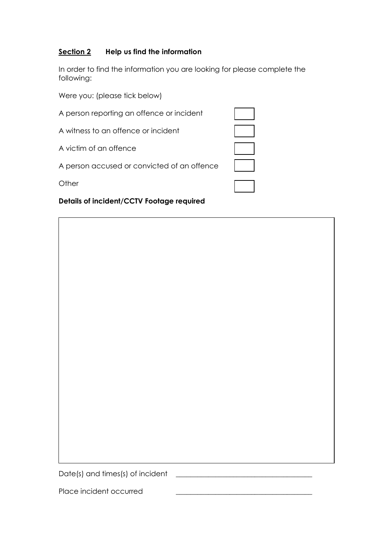## **Section 2 Help us find the information**

In order to find the information you are looking for please complete the following:

Were you: (please tick below)

| A person reporting an offence or incident   |  |
|---------------------------------------------|--|
| A witness to an offence or incident         |  |
| A victim of an offence                      |  |
| A person accused or convicted of an offence |  |
| $\bigcirc$ ther                             |  |

# **Details of incident/CCTV Footage required**



Date(s) and times(s) of incident \_\_\_\_\_\_\_\_\_\_\_\_\_\_\_\_\_\_\_\_\_\_\_\_\_\_\_\_\_\_\_\_\_\_\_\_\_\_

Place incident occurred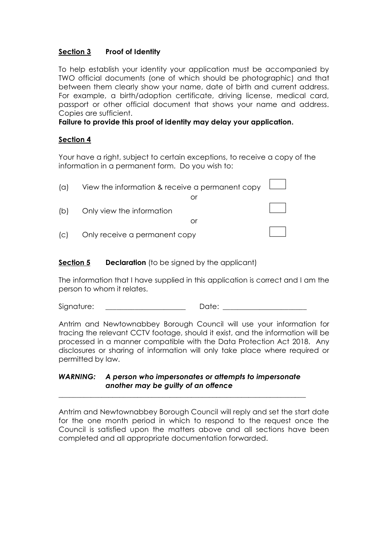# **Section 3 Proof of Identity**

To help establish your identity your application must be accompanied by TWO official documents (one of which should be photographic) and that between them clearly show your name, date of birth and current address. For example, a birth/adoption certificate, driving license, medical card, passport or other official document that shows your name and address. Copies are sufficient.

**Failure to provide this proof of identity may delay your application.**

### **Section 4**

Your have a right, subject to certain exceptions, to receive a copy of the information in a permanent form. Do you wish to:

| $\alpha$ | View the information & receive a permanent copy $\Box$ |  |
|----------|--------------------------------------------------------|--|
|          |                                                        |  |
| (b)      | Only view the information                              |  |
|          | Ωľ                                                     |  |
| C        | Only receive a permanent copy                          |  |

### **Section 5 Declaration** (to be signed by the applicant)

The information that I have supplied in this application is correct and I am the person to whom it relates.

Signature: \_\_\_\_\_\_\_\_\_\_\_\_\_\_\_\_\_\_\_\_\_\_ Date: \_\_\_\_\_\_\_\_\_\_\_\_\_\_\_\_\_\_\_\_\_\_\_

Antrim and Newtownabbey Borough Council will use your information for tracing the relevant CCTV footage, should it exist, and the information will be processed in a manner compatible with the Data Protection Act 2018. Any disclosures or sharing of information will only take place where required or permitted by law.

#### *WARNING: A person who impersonates or attempts to impersonate another may be guilty of an offence*

\_\_\_\_\_\_\_\_\_\_\_\_\_\_\_\_\_\_\_\_\_\_\_\_\_\_\_\_\_\_\_\_\_\_\_\_\_\_\_\_\_\_\_\_\_\_\_\_\_\_\_\_\_\_\_\_\_\_\_\_\_\_\_\_\_\_\_\_\_

Antrim and Newtownabbey Borough Council will reply and set the start date for the one month period in which to respond to the request once the Council is satisfied upon the matters above and all sections have been completed and all appropriate documentation forwarded.